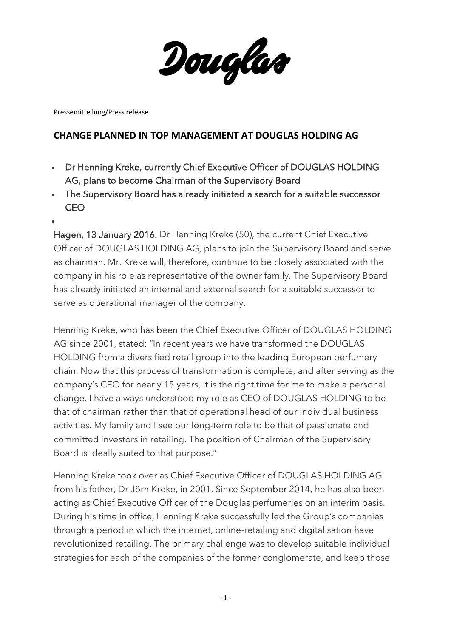Douglas

Pressemitteilung/Press release

 $\bullet$ 

## **CHANGE PLANNED IN TOP MANAGEMENT AT DOUGLAS HOLDING AG**

- Dr Henning Kreke, currently Chief Executive Officer of DOUGLAS HOLDING AG, plans to become Chairman of the Supervisory Board
- The Supervisory Board has already initiated a search for a suitable successor **CEO**
- Hagen, 13 January 2016. Dr Henning Kreke (50), the current Chief Executive Officer of DOUGLAS HOLDING AG, plans to join the Supervisory Board and serve as chairman. Mr. Kreke will, therefore, continue to be closely associated with the company in his role as representative of the owner family. The Supervisory Board has already initiated an internal and external search for a suitable successor to serve as operational manager of the company.

Henning Kreke, who has been the Chief Executive Officer of DOUGLAS HOLDING AG since 2001, stated: "In recent years we have transformed the DOUGLAS HOLDING from a diversified retail group into the leading European perfumery chain. Now that this process of transformation is complete, and after serving as the company's CEO for nearly 15 years, it is the right time for me to make a personal change. I have always understood my role as CEO of DOUGLAS HOLDING to be that of chairman rather than that of operational head of our individual business activities. My family and I see our long-term role to be that of passionate and committed investors in retailing. The position of Chairman of the Supervisory Board is ideally suited to that purpose."

Henning Kreke took over as Chief Executive Officer of DOUGLAS HOLDING AG from his father, Dr Jörn Kreke, in 2001. Since September 2014, he has also been acting as Chief Executive Officer of the Douglas perfumeries on an interim basis. During his time in office, Henning Kreke successfully led the Group's companies through a period in which the internet, online-retailing and digitalisation have revolutionized retailing. The primary challenge was to develop suitable individual strategies for each of the companies of the former conglomerate, and keep those